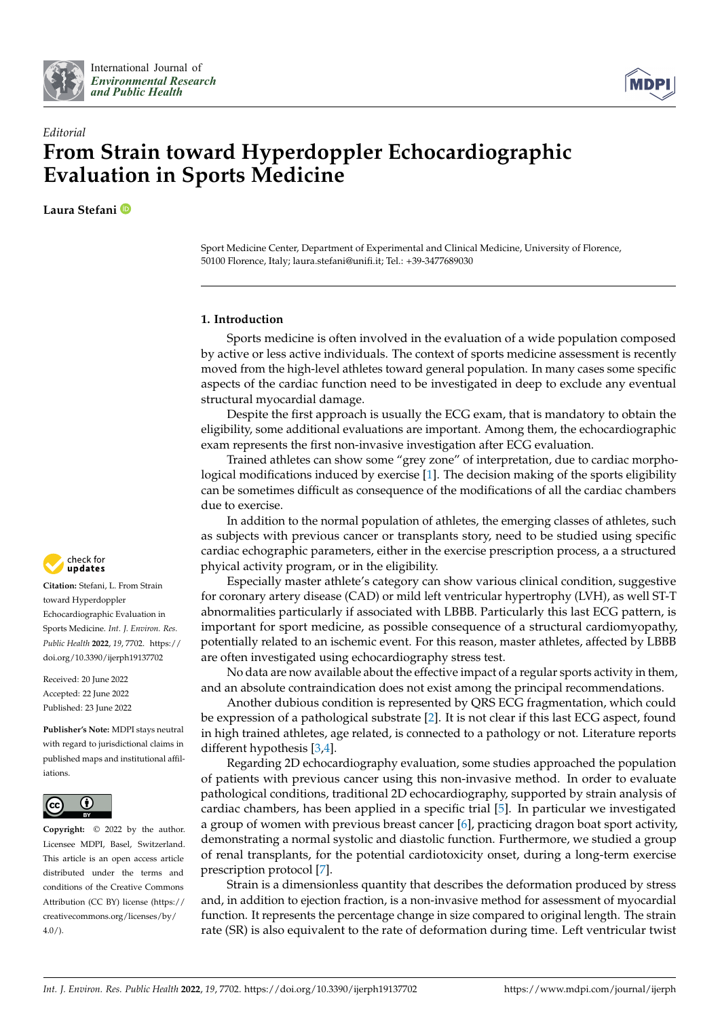



## *Editorial* **From Strain toward Hyperdoppler Echocardiographic Evaluation in Sports Medicine**

**Laura Stefani**

Sport Medicine Center, Department of Experimental and Clinical Medicine, University of Florence, 50100 Florence, Italy; laura.stefani@unifi.it; Tel.: +39-3477689030

## **1. Introduction**

Sports medicine is often involved in the evaluation of a wide population composed by active or less active individuals. The context of sports medicine assessment is recently moved from the high-level athletes toward general population. In many cases some specific aspects of the cardiac function need to be investigated in deep to exclude any eventual structural myocardial damage.

Despite the first approach is usually the ECG exam, that is mandatory to obtain the eligibility, some additional evaluations are important. Among them, the echocardiographic exam represents the first non-invasive investigation after ECG evaluation.

Trained athletes can show some "grey zone" of interpretation, due to cardiac morphological modifications induced by exercise [\[1\]](#page-3-0). The decision making of the sports eligibility can be sometimes difficult as consequence of the modifications of all the cardiac chambers due to exercise.

In addition to the normal population of athletes, the emerging classes of athletes, such as subjects with previous cancer or transplants story, need to be studied using specific cardiac echographic parameters, either in the exercise prescription process, a a structured phyical activity program, or in the eligibility.

Especially master athlete's category can show various clinical condition, suggestive for coronary artery disease (CAD) or mild left ventricular hypertrophy (LVH), as well ST-T abnormalities particularly if associated with LBBB. Particularly this last ECG pattern, is important for sport medicine, as possible consequence of a structural cardiomyopathy, potentially related to an ischemic event. For this reason, master athletes, affected by LBBB are often investigated using echocardiography stress test.

No data are now available about the effective impact of a regular sports activity in them, and an absolute contraindication does not exist among the principal recommendations.

Another dubious condition is represented by QRS ECG fragmentation, which could be expression of a pathological substrate [\[2\]](#page-3-1). It is not clear if this last ECG aspect, found in high trained athletes, age related, is connected to a pathology or not. Literature reports different hypothesis [\[3](#page-3-2)[,4\]](#page-3-3).

Regarding 2D echocardiography evaluation, some studies approached the population of patients with previous cancer using this non-invasive method. In order to evaluate pathological conditions, traditional 2D echocardiography, supported by strain analysis of cardiac chambers, has been applied in a specific trial [\[5\]](#page-3-4). In particular we investigated a group of women with previous breast cancer [\[6\]](#page-3-5), practicing dragon boat sport activity, demonstrating a normal systolic and diastolic function. Furthermore, we studied a group of renal transplants, for the potential cardiotoxicity onset, during a long-term exercise prescription protocol [\[7\]](#page-3-6).

Strain is a dimensionless quantity that describes the deformation produced by stress and, in addition to ejection fraction, is a non-invasive method for assessment of myocardial function. It represents the percentage change in size compared to original length. The strain rate (SR) is also equivalent to the rate of deformation during time. Left ventricular twist



**Citation:** Stefani, L. From Strain toward Hyperdoppler Echocardiographic Evaluation in Sports Medicine. *Int. J. Environ. Res. Public Health* **2022**, *19*, 7702. [https://](https://doi.org/10.3390/ijerph19137702) [doi.org/10.3390/ijerph19137702](https://doi.org/10.3390/ijerph19137702)

Received: 20 June 2022 Accepted: 22 June 2022 Published: 23 June 2022

**Publisher's Note:** MDPI stays neutral with regard to jurisdictional claims in published maps and institutional affiliations.



**Copyright:** © 2022 by the author. Licensee MDPI, Basel, Switzerland. This article is an open access article distributed under the terms and conditions of the Creative Commons Attribution (CC BY) license [\(https://](https://creativecommons.org/licenses/by/4.0/) [creativecommons.org/licenses/by/](https://creativecommons.org/licenses/by/4.0/)  $4.0/$ ).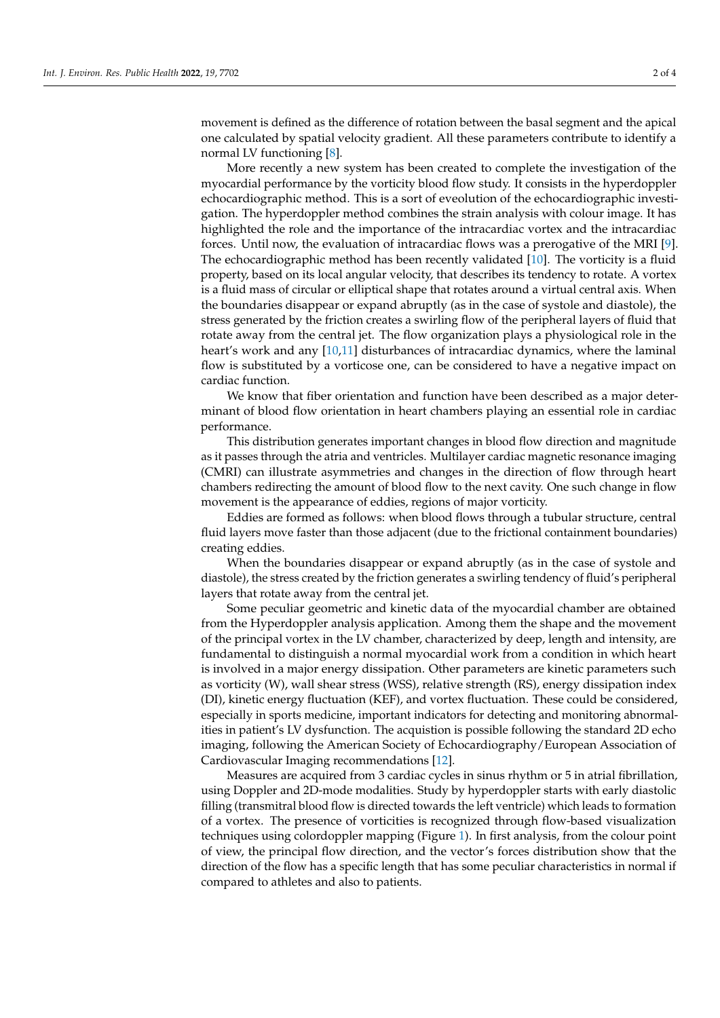movement is defined as the difference of rotation between the basal segment and the apical one calculated by spatial velocity gradient. All these parameters contribute to identify a normal LV functioning [\[8\]](#page-3-7).

More recently a new system has been created to complete the investigation of the myocardial performance by the vorticity blood flow study. It consists in the hyperdoppler echocardiographic method. This is a sort of eveolution of the echocardiographic investigation. The hyperdoppler method combines the strain analysis with colour image. It has highlighted the role and the importance of the intracardiac vortex and the intracardiac forces. Until now, the evaluation of intracardiac flows was a prerogative of the MRI [\[9\]](#page-3-8). The echocardiographic method has been recently validated [\[10\]](#page-3-9). The vorticity is a fluid property, based on its local angular velocity, that describes its tendency to rotate. A vortex is a fluid mass of circular or elliptical shape that rotates around a virtual central axis. When the boundaries disappear or expand abruptly (as in the case of systole and diastole), the stress generated by the friction creates a swirling flow of the peripheral layers of fluid that rotate away from the central jet. The flow organization plays a physiological role in the heart's work and any [\[10](#page-3-9)[,11\]](#page-3-10) disturbances of intracardiac dynamics, where the laminal flow is substituted by a vorticose one, can be considered to have a negative impact on cardiac function.

We know that fiber orientation and function have been described as a major determinant of blood flow orientation in heart chambers playing an essential role in cardiac performance.

This distribution generates important changes in blood flow direction and magnitude as it passes through the atria and ventricles. Multilayer cardiac magnetic resonance imaging (CMRI) can illustrate asymmetries and changes in the direction of flow through heart chambers redirecting the amount of blood flow to the next cavity. One such change in flow movement is the appearance of eddies, regions of major vorticity.

Eddies are formed as follows: when blood flows through a tubular structure, central fluid layers move faster than those adjacent (due to the frictional containment boundaries) creating eddies.

When the boundaries disappear or expand abruptly (as in the case of systole and diastole), the stress created by the friction generates a swirling tendency of fluid's peripheral layers that rotate away from the central jet.

Some peculiar geometric and kinetic data of the myocardial chamber are obtained from the Hyperdoppler analysis application. Among them the shape and the movement of the principal vortex in the LV chamber, characterized by deep, length and intensity, are fundamental to distinguish a normal myocardial work from a condition in which heart is involved in a major energy dissipation. Other parameters are kinetic parameters such as vorticity (W), wall shear stress (WSS), relative strength (RS), energy dissipation index (DI), kinetic energy fluctuation (KEF), and vortex fluctuation. These could be considered, especially in sports medicine, important indicators for detecting and monitoring abnormalities in patient's LV dysfunction. The acquistion is possible following the standard 2D echo imaging, following the American Society of Echocardiography/European Association of Cardiovascular Imaging recommendations [\[12\]](#page-3-11).

Measures are acquired from 3 cardiac cycles in sinus rhythm or 5 in atrial fibrillation, using Doppler and 2D-mode modalities. Study by hyperdoppler starts with early diastolic filling (transmitral blood flow is directed towards the left ventricle) which leads to formation of a vortex. The presence of vorticities is recognized through flow-based visualization techniques using colordoppler mapping (Figure [1\)](#page-2-0). In first analysis, from the colour point of view, the principal flow direction, and the vector's forces distribution show that the direction of the flow has a specific length that has some peculiar characteristics in normal if compared to athletes and also to patients.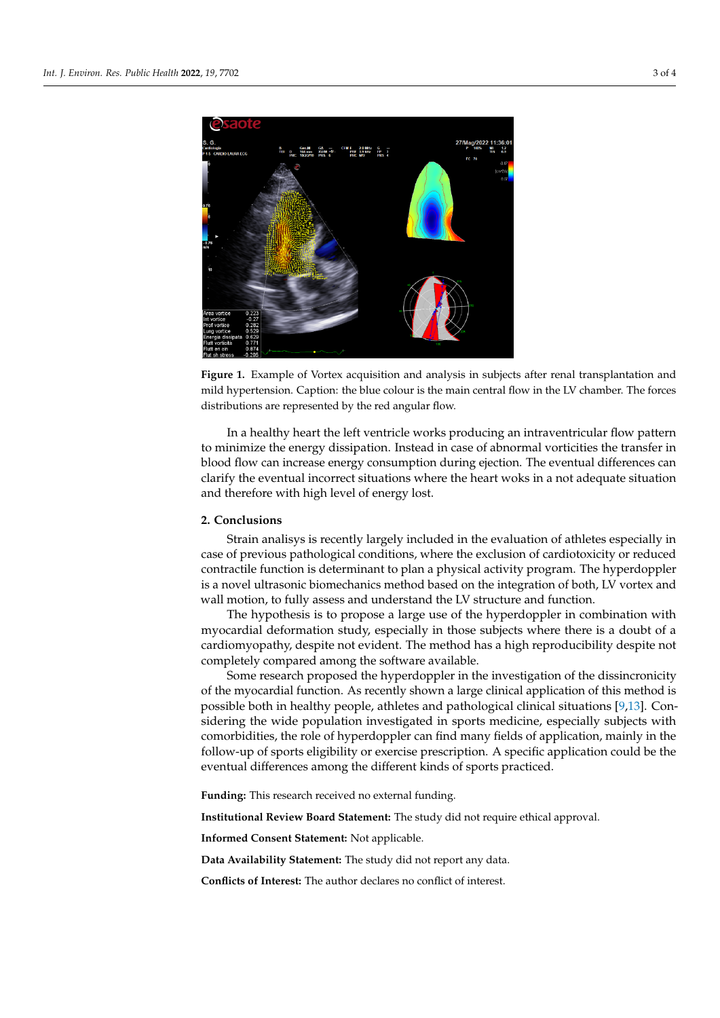<span id="page-2-0"></span>

Figure 1. Example of Vortex acquisition and analysis in subjects after renal transplantation and mild hypertension. Caption: the blue colour is the main central flow in the LV chamber. The forces tributions are represented by the red angular flow. distributions are represented by the red angular flow.

In a healthy heart the left ventricle works producing an intraventricular flow pattern to minimize the energy dissipation. Instead in case of abnormal vorticities the transfer in blood flow can increase energy consumption during ejection. The eventual differences can clarify the eventual incorrect situations where the heart woks in a not adequate situation and therefore with high level of energy lost.

## and watches and understand the LV structure and the LV structure and function. In the LV structure and function. The hypothesis is to propose a large use of the hyperdoppler in compiled in compiler in compiled in compiled in compiled in compiled in compiled in compiled in compiled in compiled in compiled in compiled in compiled in co **2. Conclusions**

Strain analisys is recently largely included in the evaluation of athletes especially in case of previous pathological conditions, where the exclusion of cardiotoxicity or reduced contractile function is determinant to plan a physical activity program. The hyperdoppler is a novel ultrasonic biomechanics method based on the integration of both, LV vortex and wall motion, to fully assess and understand the LV structure and function.

The hypothesis is to propose a large use of the hyperdoppler in combination with myocardial deformation study, especially in those subjects where there is a doubt of a myocardial deformation study, especially in those subjects where there is a doubt of a cardiomyopathy, despite not evident. The method has a high reproducibility despite not completely compared among the software available.<br>Could be the the the the software available.

Some research proposed the hyperdoppler in the investigation of the dissincronicity possible both in healthy people, athletes and pathological clinical situations [\[9](#page-3-8)[,13\]](#page-3-12). Concomorbidities, the role of hyperdoppler can find many fields of application, mainly in the follow-up of sports eligibility or exercise prescription. A specific application could be the eventual differences among the different kinds of sports practiced.<br>of the myocardial function. As recently shown a large clinical application of this method is sidering the wide population investigated in sports medicine, especially subjects with

**Funding:** This research received no external funding.

**Institutional Review Board Statement:** The study did not require ethical approval.

**Informed Consent Statement:** Not applicable.

Data Availability Statement: The study did not report any data.

statement from the British Society of Echocardiography and Cardiac Risk in the Young. *Echo Res. Pract.* **2018**, *5*, G1–G10. **Conflicts of Interest:** The author declares no conflict of interest.